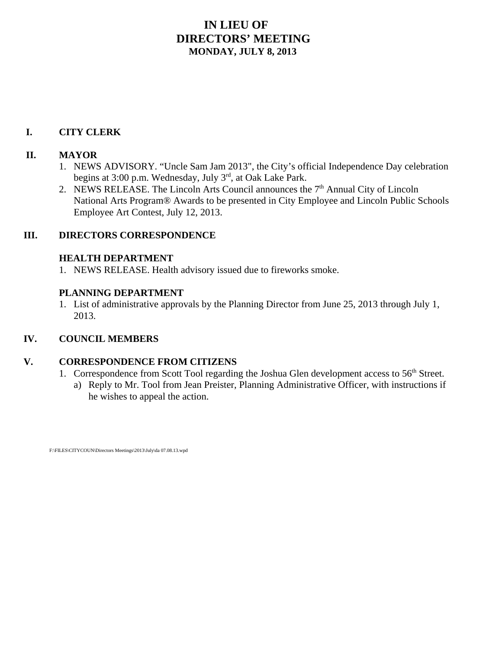### **IN LIEU OF DIRECTORS' MEETING MONDAY, JULY 8, 2013**

#### **I. CITY CLERK**

#### **II. MAYOR**

- 1. NEWS ADVISORY. "Uncle Sam Jam 2013", the City's official Independence Day celebration begins at 3:00 p.m. Wednesday, July 3<sup>rd</sup>, at Oak Lake Park.
- 2. NEWS RELEASE. The Lincoln Arts Council announces the 7<sup>th</sup> Annual City of Lincoln National Arts Program® Awards to be presented in City Employee and Lincoln Public Schools Employee Art Contest, July 12, 2013.

#### **III. DIRECTORS CORRESPONDENCE**

#### **HEALTH DEPARTMENT**

1. NEWS RELEASE. Health advisory issued due to fireworks smoke.

#### **PLANNING DEPARTMENT**

1. List of administrative approvals by the Planning Director from June 25, 2013 through July 1, 2013.

#### **IV. COUNCIL MEMBERS**

#### **V. CORRESPONDENCE FROM CITIZENS**

- 1. Correspondence from Scott Tool regarding the Joshua Glen development access to 56<sup>th</sup> Street.
	- a) Reply to Mr. Tool from Jean Preister, Planning Administrative Officer, with instructions if he wishes to appeal the action.

F:\FILES\CITYCOUN\Directors Meetings\2013\July\da 07.08.13.wpd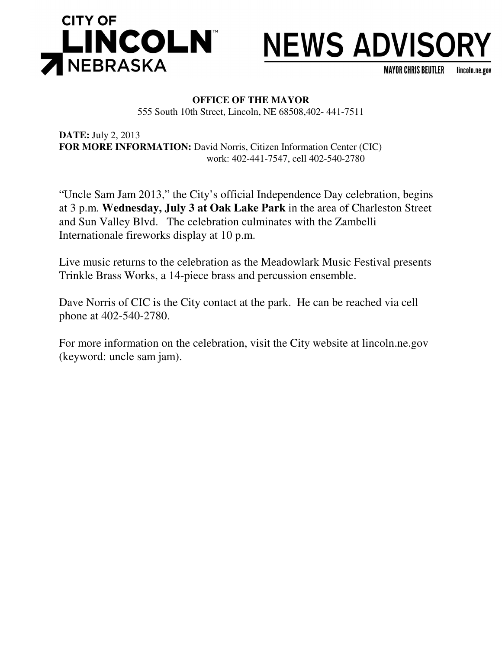

# **NEWS ADVISORY**

MAYOR CHRIS BEUTLER lincoln.ne.gov

#### **OFFICE OF THE MAYOR** 555 South 10th Street, Lincoln, NE 68508,402- 441-7511

**DATE:** July 2, 2013 **FOR MORE INFORMATION:** David Norris, Citizen Information Center (CIC) work: 402-441-7547, cell 402-540-2780

"Uncle Sam Jam 2013," the City's official Independence Day celebration, begins at 3 p.m. **Wednesday, July 3 at Oak Lake Park** in the area of Charleston Street and Sun Valley Blvd. The celebration culminates with the Zambelli Internationale fireworks display at 10 p.m.

Live music returns to the celebration as the Meadowlark Music Festival presents Trinkle Brass Works, a 14-piece brass and percussion ensemble.

Dave Norris of CIC is the City contact at the park. He can be reached via cell phone at 402-540-2780.

For more information on the celebration, visit the City website at lincoln.ne.gov (keyword: uncle sam jam).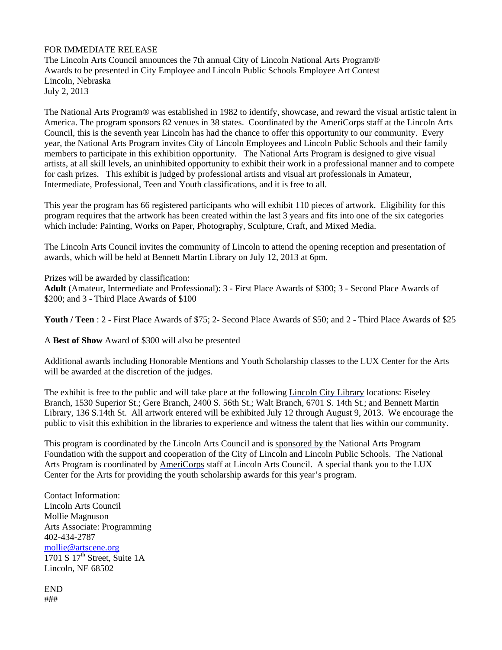#### FOR IMMEDIATE RELEASE

The Lincoln Arts Council announces the 7th annual City of Lincoln National Arts Program® Awards to be presented in City Employee and Lincoln Public Schools Employee Art Contest Lincoln, Nebraska July 2, 2013

The National Arts Program® was established in 1982 to identify, showcase, and reward the visual artistic talent in America. The program sponsors 82 venues in 38 states. Coordinated by the AmeriCorps staff at the Lincoln Arts Council, this is the seventh year Lincoln has had the chance to offer this opportunity to our community. Every year, the National Arts Program invites City of Lincoln Employees and Lincoln Public Schools and their family members to participate in this exhibition opportunity. The National Arts Program is designed to give visual artists, at all skill levels, an uninhibited opportunity to exhibit their work in a professional manner and to compete for cash prizes. This exhibit is judged by professional artists and visual art professionals in Amateur, Intermediate, Professional, Teen and Youth classifications, and it is free to all.

This year the program has 66 registered participants who will exhibit 110 pieces of artwork. Eligibility for this program requires that the artwork has been created within the last 3 years and fits into one of the six categories which include: Painting, Works on Paper, Photography, Sculpture, Craft, and Mixed Media.

The Lincoln Arts Council invites the community of Lincoln to attend the opening reception and presentation of awards, which will be held at Bennett Martin Library on July 12, 2013 at 6pm.

Prizes will be awarded by classification: **Adult** (Amateur, Intermediate and Professional): 3 - First Place Awards of \$300; 3 - Second Place Awards of \$200; and 3 - Third Place Awards of \$100

**Youth / Teen** : 2 - First Place Awards of \$75; 2- Second Place Awards of \$50; and 2 - Third Place Awards of \$25

A **Best of Show** Award of \$300 will also be presented

Additional awards including Honorable Mentions and Youth Scholarship classes to the LUX Center for the Arts will be awarded at the discretion of the judges.

The exhibit is free to the public and will take place at the following Lincoln City Library locations: Eiseley Branch, 1530 Superior St.; Gere Branch, 2400 S. 56th St.; Walt Branch, 6701 S. 14th St.; and Bennett Martin Library, 136 S.14th St. All artwork entered will be exhibited July 12 through August 9, 2013. We encourage the public to visit this exhibition in the libraries to experience and witness the talent that lies within our community.

This program is coordinated by the Lincoln Arts Council and is sponsored by the National Arts Program Foundation with the support and cooperation of the City of Lincoln and Lincoln Public Schools. The National Arts Program is coordinated by AmeriCorps staff at Lincoln Arts Council. A special thank you to the LUX Center for the Arts for providing the youth scholarship awards for this year's program.

Contact Information: Lincoln Arts Council Mollie Magnuson Arts Associate: Programming 402-434-2787 mollie@artscene.org 1701 S  $17^{th}$  Street, Suite 1A Lincoln, NE 68502

END ###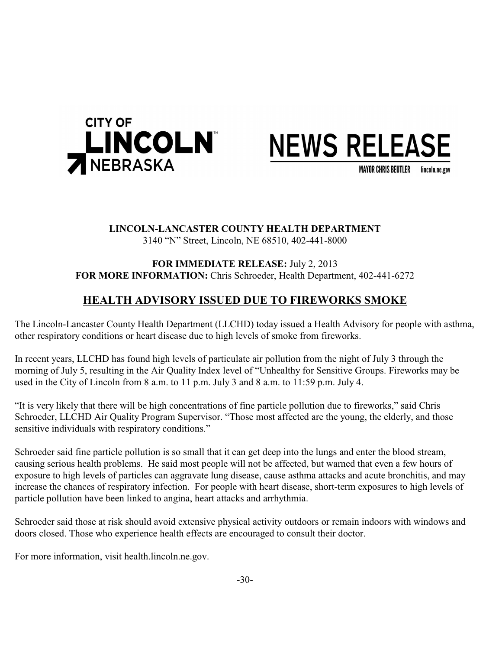

## **NEWS RELEASE**

**MAYOR CHRIS BEUTLER** lincoln.ne.gov

#### **LINCOLN-LANCASTER COUNTY HEALTH DEPARTMENT** 3140 "N" Street, Lincoln, NE 68510, 402-441-8000

#### **FOR IMMEDIATE RELEASE:** July 2, 2013 **FOR MORE INFORMATION:** Chris Schroeder, Health Department, 402-441-6272

### **HEALTH ADVISORY ISSUED DUE TO FIREWORKS SMOKE**

The Lincoln-Lancaster County Health Department (LLCHD) today issued a Health Advisory for people with asthma, other respiratory conditions or heart disease due to high levels of smoke from fireworks.

In recent years, LLCHD has found high levels of particulate air pollution from the night of July 3 through the morning of July 5, resulting in the Air Quality Index level of "Unhealthy for Sensitive Groups. Fireworks may be used in the City of Lincoln from 8 a.m. to 11 p.m. July 3 and 8 a.m. to 11:59 p.m. July 4.

"It is very likely that there will be high concentrations of fine particle pollution due to fireworks," said Chris Schroeder, LLCHD Air Quality Program Supervisor. "Those most affected are the young, the elderly, and those sensitive individuals with respiratory conditions."

Schroeder said fine particle pollution is so small that it can get deep into the lungs and enter the blood stream, causing serious health problems. He said most people will not be affected, but warned that even a few hours of exposure to high levels of particles can aggravate lung disease, cause asthma attacks and acute bronchitis, and may increase the chances of respiratory infection. For people with heart disease, short-term exposures to high levels of particle pollution have been linked to angina, heart attacks and arrhythmia.

Schroeder said those at risk should avoid extensive physical activity outdoors or remain indoors with windows and doors closed. Those who experience health effects are encouraged to consult their doctor.

For more information, visit health.lincoln.ne.gov.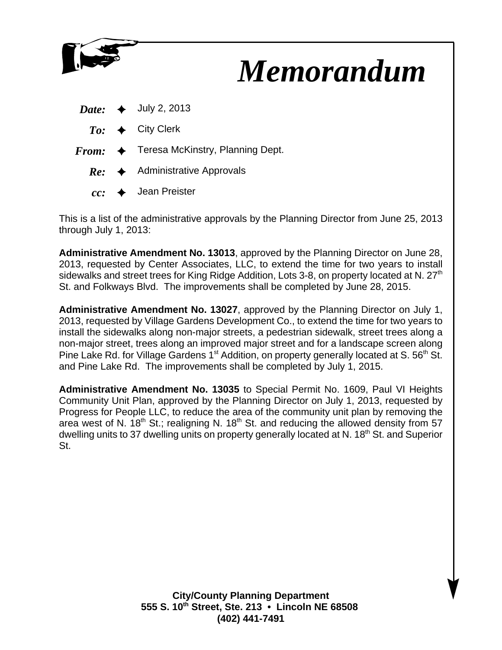

## *Memorandum*

|  | <i>Date:</i> $\leftrightarrow$ July 2, 2013              |
|--|----------------------------------------------------------|
|  | $To: \leftrightarrow$ City Clerk                         |
|  | $From: \leftrightarrow$ Teresa McKinstry, Planning Dept. |

- $Re: \rightarrow$  Administrative Approvals
	- $cc:$   $\rightarrow$  Jean Preister

This is a list of the administrative approvals by the Planning Director from June 25, 2013 through July 1, 2013:

**Administrative Amendment No. 13013**, approved by the Planning Director on June 28, 2013, requested by Center Associates, LLC, to extend the time for two years to install sidewalks and street trees for King Ridge Addition, Lots 3-8, on property located at N.  $27<sup>th</sup>$ St. and Folkways Blvd. The improvements shall be completed by June 28, 2015.

**Administrative Amendment No. 13027**, approved by the Planning Director on July 1, 2013, requested by Village Gardens Development Co., to extend the time for two years to install the sidewalks along non-major streets, a pedestrian sidewalk, street trees along a non-major street, trees along an improved major street and for a landscape screen along Pine Lake Rd. for Village Gardens 1<sup>st</sup> Addition, on property generally located at S. 56<sup>th</sup> St. and Pine Lake Rd. The improvements shall be completed by July 1, 2015.

**Administrative Amendment No. 13035** to Special Permit No. 1609, Paul VI Heights Community Unit Plan, approved by the Planning Director on July 1, 2013, requested by Progress for People LLC, to reduce the area of the community unit plan by removing the area west of N.  $18<sup>th</sup>$  St.; realigning N.  $18<sup>th</sup>$  St. and reducing the allowed density from 57 dwelling units to 37 dwelling units on property generally located at N. 18<sup>th</sup> St. and Superior St.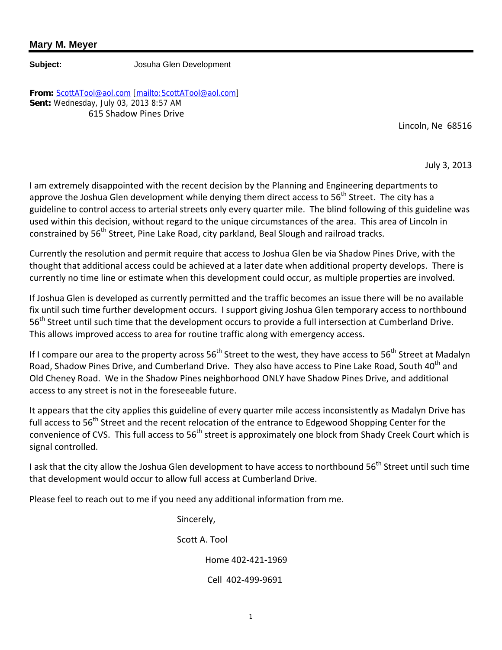#### **Mary M. Meyer**

**Subject:** Josuha Glen Development

**From:** ScottATool@aol.com [mailto:ScottATool@aol.com] **Sent:** Wednesday, July 03, 2013 8:57 AM 615 Shadow Pines Drive

Lincoln, Ne 68516

July 3, 2013

I am extremely disappointed with the recent decision by the Planning and Engineering departments to approve the Joshua Glen development while denying them direct access to  $56<sup>th</sup>$  Street. The city has a guideline to control access to arterial streets only every quarter mile. The blind following of this guideline was used within this decision, without regard to the unique circumstances of the area. This area of Lincoln in constrained by 56<sup>th</sup> Street, Pine Lake Road, city parkland, Beal Slough and railroad tracks.

Currently the resolution and permit require that access to Joshua Glen be via Shadow Pines Drive, with the thought that additional access could be achieved at a later date when additional property develops. There is currently no time line or estimate when this development could occur, as multiple properties are involved.

If Joshua Glen is developed as currently permitted and the traffic becomes an issue there will be no available fix until such time further development occurs. I support giving Joshua Glen temporary access to northbound 56<sup>th</sup> Street until such time that the development occurs to provide a full intersection at Cumberland Drive. This allows improved access to area for routine traffic along with emergency access.

If I compare our area to the property across  $56<sup>th</sup>$  Street to the west, they have access to  $56<sup>th</sup>$  Street at Madalyn Road, Shadow Pines Drive, and Cumberland Drive. They also have access to Pine Lake Road, South 40<sup>th</sup> and Old Cheney Road. We in the Shadow Pines neighborhood ONLY have Shadow Pines Drive, and additional access to any street is not in the foreseeable future.

It appears that the city applies this guideline of every quarter mile access inconsistently as Madalyn Drive has full access to 56<sup>th</sup> Street and the recent relocation of the entrance to Edgewood Shopping Center for the convenience of CVS. This full access to 56<sup>th</sup> street is approximately one block from Shady Creek Court which is signal controlled.

I ask that the city allow the Joshua Glen development to have access to northbound 56<sup>th</sup> Street until such time that development would occur to allow full access at Cumberland Drive.

Please feel to reach out to me if you need any additional information from me.

Sincerely,

Scott A. Tool

Home 402-421-1969

Cell 402-499-9691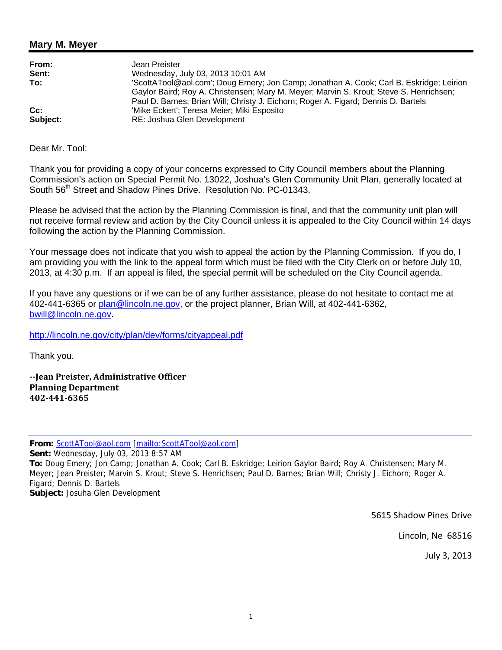#### **Mary M. Meyer**

| From:    | Jean Preister                                                                                                                                                                                                                                                           |
|----------|-------------------------------------------------------------------------------------------------------------------------------------------------------------------------------------------------------------------------------------------------------------------------|
| Sent:    | Wednesday, July 03, 2013 10:01 AM                                                                                                                                                                                                                                       |
| To:      | 'ScottATool@aol.com'; Doug Emery; Jon Camp; Jonathan A. Cook; Carl B. Eskridge; Leirion<br>Gaylor Baird; Roy A. Christensen; Mary M. Meyer; Marvin S. Krout; Steve S. Henrichsen;<br>Paul D. Barnes; Brian Will; Christy J. Eichorn; Roger A. Figard; Dennis D. Bartels |
| $Cc$ :   | 'Mike Eckert'; Teresa Meier; Miki Esposito                                                                                                                                                                                                                              |
| Subject: | RE: Joshua Glen Development                                                                                                                                                                                                                                             |

Dear Mr. Tool:

Thank you for providing a copy of your concerns expressed to City Council members about the Planning Commission's action on Special Permit No. 13022, Joshua's Glen Community Unit Plan, generally located at South 56<sup>th</sup> Street and Shadow Pines Drive. Resolution No. PC-01343.

Please be advised that the action by the Planning Commission is final, and that the community unit plan will not receive formal review and action by the City Council unless it is appealed to the City Council within 14 days following the action by the Planning Commission.

Your message does not indicate that you wish to appeal the action by the Planning Commission. If you do, I am providing you with the link to the appeal form which must be filed with the City Clerk on or before July 10, 2013, at 4:30 p.m. If an appeal is filed, the special permit will be scheduled on the City Council agenda.

If you have any questions or if we can be of any further assistance, please do not hesitate to contact me at 402-441-6365 or plan@lincoln.ne.gov, or the project planner, Brian Will, at 402-441-6362, bwill@lincoln.ne.gov.

http://lincoln.ne.gov/city/plan/dev/forms/cityappeal.pdf

Thank you.

**--Jean Preister, Administrative Officer Planning Department 402-441-6365** 

**From:** ScottATool@aol.com [mailto:ScottATool@aol.com] **Sent:** Wednesday, July 03, 2013 8:57 AM **To:** Doug Emery; Jon Camp; Jonathan A. Cook; Carl B. Eskridge; Leirion Gaylor Baird; Roy A. Christensen; Mary M. Meyer; Jean Preister; Marvin S. Krout; Steve S. Henrichsen; Paul D. Barnes; Brian Will; Christy J. Eichorn; Roger A. Figard; Dennis D. Bartels **Subject:** Josuha Glen Development

5615 Shadow Pines Drive

Lincoln, Ne 68516

July 3, 2013